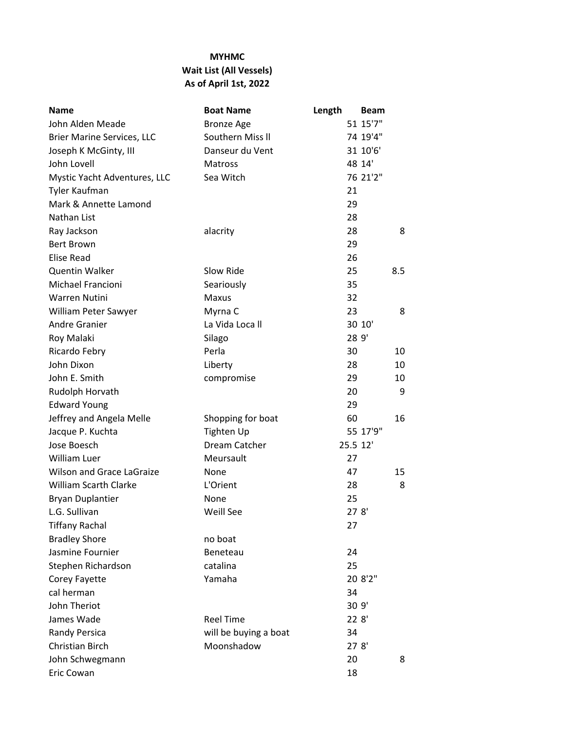## **MYHMC Wait List (All Vessels) As of April 1st, 2022**

| <b>Name</b>                       | <b>Boat Name</b>      | Length   | <b>Beam</b> |
|-----------------------------------|-----------------------|----------|-------------|
| John Alden Meade                  | <b>Bronze Age</b>     |          | 51 15'7"    |
| <b>Brier Marine Services, LLC</b> | Southern Miss II      |          | 74 19'4"    |
| Joseph K McGinty, III             | Danseur du Vent       |          | 31 10'6'    |
| John Lovell                       | Matross               |          | 48 14'      |
| Mystic Yacht Adventures, LLC      | Sea Witch             |          | 76 21'2"    |
| Tyler Kaufman                     |                       | 21       |             |
| Mark & Annette Lamond             |                       | 29       |             |
| Nathan List                       |                       | 28       |             |
| Ray Jackson                       | alacrity              | 28       | 8           |
| <b>Bert Brown</b>                 |                       | 29       |             |
| <b>Elise Read</b>                 |                       | 26       |             |
| <b>Quentin Walker</b>             | Slow Ride             | 25       | 8.5         |
| Michael Francioni                 | Seariously            | 35       |             |
| Warren Nutini                     | <b>Maxus</b>          | 32       |             |
| William Peter Sawyer              | Myrna C               | 23       | 8           |
| Andre Granier                     | La Vida Loca II       |          | 30 10'      |
| Roy Malaki                        | Silago                | 28 9'    |             |
| Ricardo Febry                     | Perla                 | 30       | 10          |
| John Dixon                        | Liberty               | 28       | 10          |
| John E. Smith                     | compromise            | 29       | 10          |
| Rudolph Horvath                   |                       | 20       | 9           |
| <b>Edward Young</b>               |                       | 29       |             |
| Jeffrey and Angela Melle          | Shopping for boat     | 60       | 16          |
| Jacque P. Kuchta                  | Tighten Up            |          | 55 17'9"    |
| Jose Boesch                       | Dream Catcher         | 25.5 12' |             |
| <b>William Luer</b>               | Meursault             | 27       |             |
| <b>Wilson and Grace LaGraize</b>  | None                  | 47       | 15          |
| William Scarth Clarke             | L'Orient              | 28       | 8           |
| <b>Bryan Duplantier</b>           | None                  | 25       |             |
| L.G. Sullivan                     | Weill See             | 278'     |             |
| <b>Tiffany Rachal</b>             |                       | 27       |             |
| <b>Bradley Shore</b>              | no boat               |          |             |
| Jasmine Fournier                  | Beneteau              | 24       |             |
| Stephen Richardson                | catalina              | 25       |             |
| Corey Fayette                     | Yamaha                |          | 20 8'2"     |
| cal herman                        |                       | 34       |             |
| John Theriot                      |                       |          | 30 9'       |
| James Wade                        | <b>Reel Time</b>      |          | 22 8'       |
| Randy Persica                     | will be buying a boat | 34       |             |
| Christian Birch                   | Moonshadow            | 278'     |             |
| John Schwegmann                   |                       | 20       | 8           |
| Eric Cowan                        |                       | 18       |             |